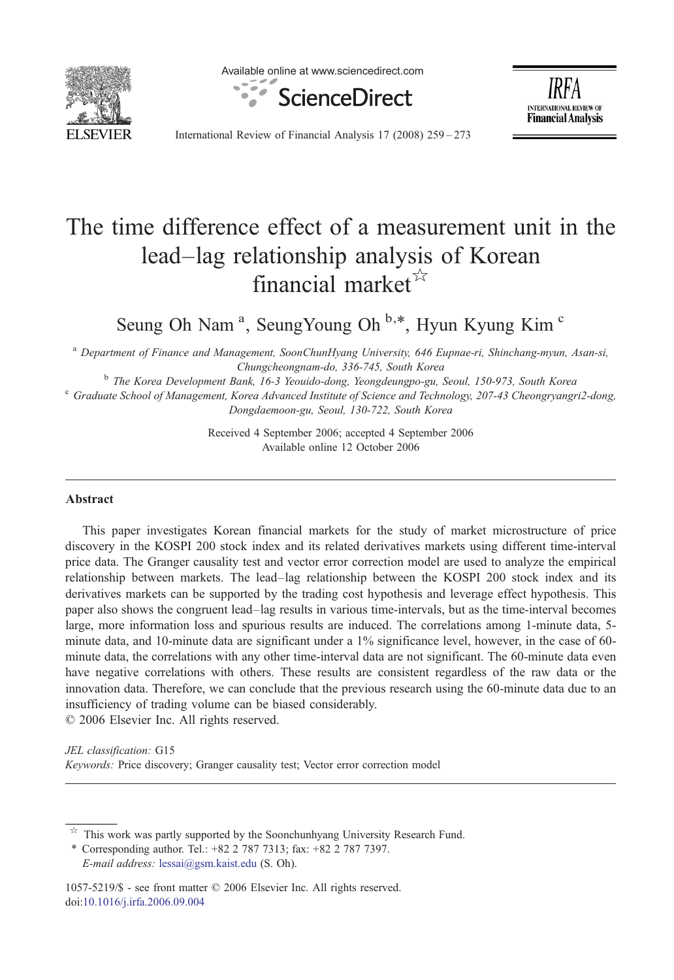

Available online at www.sciencedirect.com





International Review of Financial Analysis 17 (2008) 259–273

## The time difference effect of a measurement unit in the lead–lag relationship analysis of Korean financial market $\mathbb{R}^2$

Seung Oh Nam<sup>a</sup>, SeungYoung Oh<sup>b,\*</sup>, Hyun Kyung Kim<sup>c</sup>

<sup>a</sup> Department of Finance and Management, SoonChunHyang University, 646 Eupnae-ri, Shinchang-myun, Asan-si,

Chungcheongnam-do, 336-745, South Korea<br><sup>b</sup> The Korea Development Bank, 16-3 Yeouido-dong, Yeongdeungpo-gu, Seoul, 150-973, South Korea<br><sup>c</sup> Graduate School of Management, Korea Advanced Institute of Science and Technology, Dongdaemoon-gu, Seoul, 130-722, South Korea

> Received 4 September 2006; accepted 4 September 2006 Available online 12 October 2006

## Abstract

This paper investigates Korean financial markets for the study of market microstructure of price discovery in the KOSPI 200 stock index and its related derivatives markets using different time-interval price data. The Granger causality test and vector error correction model are used to analyze the empirical relationship between markets. The lead–lag relationship between the KOSPI 200 stock index and its derivatives markets can be supported by the trading cost hypothesis and leverage effect hypothesis. This paper also shows the congruent lead–lag results in various time-intervals, but as the time-interval becomes large, more information loss and spurious results are induced. The correlations among 1-minute data, 5 minute data, and 10-minute data are significant under a 1% significance level, however, in the case of 60 minute data, the correlations with any other time-interval data are not significant. The 60-minute data even have negative correlations with others. These results are consistent regardless of the raw data or the innovation data. Therefore, we can conclude that the previous research using the 60-minute data due to an insufficiency of trading volume can be biased considerably.

© 2006 Elsevier Inc. All rights reserved.

JEL classification: G15 Keywords: Price discovery; Granger causality test; Vector error correction model

This work was partly supported by the Soonchunhyang University Research Fund.

⁎ Corresponding author. Tel.: +82 2 787 7313; fax: +82 2 787 7397. E-mail address: [lessai@gsm.kaist.edu](mailto:lessai@gsm.kaist.edu) (S. Oh).

1057-5219/\$ - see front matter © 2006 Elsevier Inc. All rights reserved. doi:[10.1016/j.irfa.2006.09.004](http://dx.doi.org/10.1016/j.irfa.2006.09.004)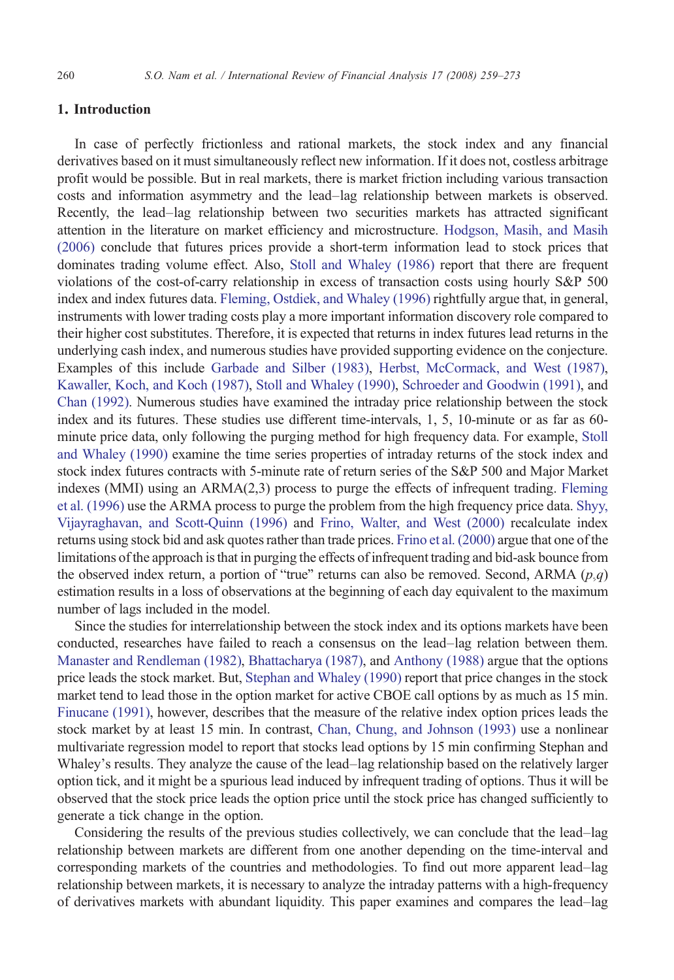## 1. Introduction

In case of perfectly frictionless and rational markets, the stock index and any financial derivatives based on it must simultaneously reflect new information. If it does not, costless arbitrage profit would be possible. But in real markets, there is market friction including various transaction costs and information asymmetry and the lead–lag relationship between markets is observed. Recently, the lead–lag relationship between two securities markets has attracted significant attention in the literature on market efficiency and microstructure. [Hodgson, Masih, and Masih](#page--1-0) [\(2006\)](#page--1-0) conclude that futures prices provide a short-term information lead to stock prices that dominates trading volume effect. Also, [Stoll and Whaley \(1986\)](#page--1-0) report that there are frequent violations of the cost-of-carry relationship in excess of transaction costs using hourly S&P 500 index and index futures data. [Fleming, Ostdiek, and Whaley \(1996\)](#page--1-0) rightfully argue that, in general, instruments with lower trading costs play a more important information discovery role compared to their higher cost substitutes. Therefore, it is expected that returns in index futures lead returns in the underlying cash index, and numerous studies have provided supporting evidence on the conjecture. Examples of this include [Garbade and Silber \(1983\)](#page--1-0), [Herbst, McCormack, and West \(1987\),](#page--1-0) [Kawaller, Koch, and Koch \(1987\),](#page--1-0) [Stoll and Whaley \(1990\)](#page--1-0), [Schroeder and Goodwin \(1991\)](#page--1-0), and [Chan \(1992\)](#page--1-0). Numerous studies have examined the intraday price relationship between the stock index and its futures. These studies use different time-intervals, 1, 5, 10-minute or as far as 60 minute price data, only following the purging method for high frequency data. For example, [Stoll](#page--1-0) [and Whaley \(1990\)](#page--1-0) examine the time series properties of intraday returns of the stock index and stock index futures contracts with 5-minute rate of return series of the S&P 500 and Major Market indexes (MMI) using an ARMA(2,3) process to purge the effects of infrequent trading. [Fleming](#page--1-0) [et al. \(1996\)](#page--1-0) use the ARMA process to purge the problem from the high frequency price data. [Shyy,](#page--1-0) [Vijayraghavan, and Scott-Quinn \(1996\)](#page--1-0) and [Frino, Walter, and West \(2000\)](#page--1-0) recalculate index returns using stock bid and ask quotes rather than trade prices. [Frino et al. \(2000\)](#page--1-0) argue that one of the limitations of the approach is that in purging the effects of infrequent trading and bid-ask bounce from the observed index return, a portion of "true" returns can also be removed. Second, ARMA  $(p,q)$ estimation results in a loss of observations at the beginning of each day equivalent to the maximum number of lags included in the model.

Since the studies for interrelationship between the stock index and its options markets have been conducted, researches have failed to reach a consensus on the lead–lag relation between them. [Manaster and Rendleman \(1982\),](#page--1-0) [Bhattacharya \(1987\),](#page--1-0) and [Anthony \(1988\)](#page--1-0) argue that the options price leads the stock market. But, [Stephan and Whaley \(1990\)](#page--1-0) report that price changes in the stock market tend to lead those in the option market for active CBOE call options by as much as 15 min. [Finucane \(1991\)](#page--1-0), however, describes that the measure of the relative index option prices leads the stock market by at least 15 min. In contrast, [Chan, Chung, and Johnson \(1993\)](#page--1-0) use a nonlinear multivariate regression model to report that stocks lead options by 15 min confirming Stephan and Whaley's results. They analyze the cause of the lead–lag relationship based on the relatively larger option tick, and it might be a spurious lead induced by infrequent trading of options. Thus it will be observed that the stock price leads the option price until the stock price has changed sufficiently to generate a tick change in the option.

Considering the results of the previous studies collectively, we can conclude that the lead–lag relationship between markets are different from one another depending on the time-interval and corresponding markets of the countries and methodologies. To find out more apparent lead–lag relationship between markets, it is necessary to analyze the intraday patterns with a high-frequency of derivatives markets with abundant liquidity. This paper examines and compares the lead–lag